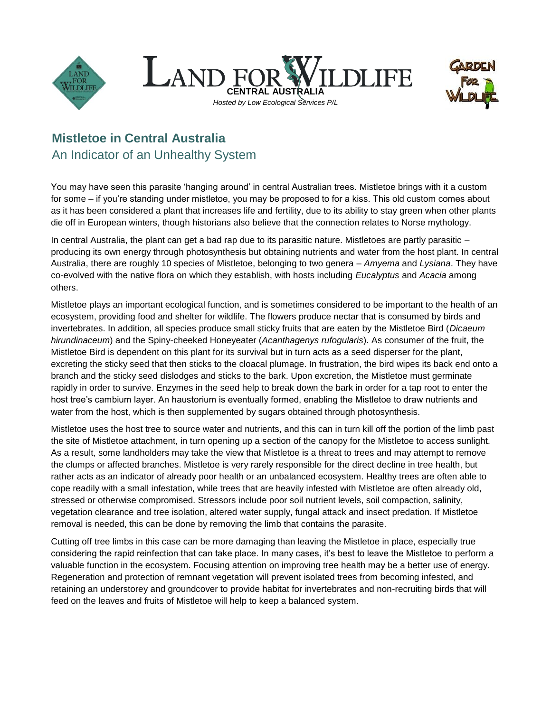





## **Mistletoe in Central Australia** An Indicator of an Unhealthy System

You may have seen this parasite 'hanging around' in central Australian trees. Mistletoe brings with it a custom for some – if you're standing under mistletoe, you may be proposed to for a kiss. This old custom comes about as it has been considered a plant that increases life and fertility, due to its ability to stay green when other plants die off in European winters, though historians also believe that the connection relates to Norse mythology.

In central Australia, the plant can get a bad rap due to its parasitic nature. Mistletoes are partly parasitic – producing its own energy through photosynthesis but obtaining nutrients and water from the host plant. In central Australia, there are roughly 10 species of Mistletoe, belonging to two genera – *Amyema* and *Lysiana*. They have co-evolved with the native flora on which they establish, with hosts including *Eucalyptus* and *Acacia* among others.

Mistletoe plays an important ecological function, and is sometimes considered to be important to the health of an ecosystem, providing food and shelter for wildlife. The flowers produce nectar that is consumed by birds and invertebrates. In addition, all species produce small sticky fruits that are eaten by the Mistletoe Bird (*Dicaeum hirundinaceum*) and the Spiny-cheeked Honeyeater (*Acanthagenys rufogularis*). As consumer of the fruit, the Mistletoe Bird is dependent on this plant for its survival but in turn acts as a seed disperser for the plant, excreting the sticky seed that then sticks to the cloacal plumage. In frustration, the bird wipes its back end onto a branch and the sticky seed dislodges and sticks to the bark. Upon excretion, the Mistletoe must germinate rapidly in order to survive. Enzymes in the seed help to break down the bark in order for a tap root to enter the host tree's cambium layer. An haustorium is eventually formed, enabling the Mistletoe to draw nutrients and water from the host, which is then supplemented by sugars obtained through photosynthesis.

Mistletoe uses the host tree to source water and nutrients, and this can in turn kill off the portion of the limb past the site of Mistletoe attachment, in turn opening up a section of the canopy for the Mistletoe to access sunlight. As a result, some landholders may take the view that Mistletoe is a threat to trees and may attempt to remove the clumps or affected branches. Mistletoe is very rarely responsible for the direct decline in tree health, but rather acts as an indicator of already poor health or an unbalanced ecosystem. Healthy trees are often able to cope readily with a small infestation, while trees that are heavily infested with Mistletoe are often already old, stressed or otherwise compromised. Stressors include poor soil nutrient levels, soil compaction, salinity, vegetation clearance and tree isolation, altered water supply, fungal attack and insect predation. If Mistletoe removal is needed, this can be done by removing the limb that contains the parasite.

Cutting off tree limbs in this case can be more damaging than leaving the Mistletoe in place, especially true considering the rapid reinfection that can take place. In many cases, it's best to leave the Mistletoe to perform a valuable function in the ecosystem. Focusing attention on improving tree health may be a better use of energy. Regeneration and protection of remnant vegetation will prevent isolated trees from becoming infested, and retaining an understorey and groundcover to provide habitat for invertebrates and non-recruiting birds that will feed on the leaves and fruits of Mistletoe will help to keep a balanced system.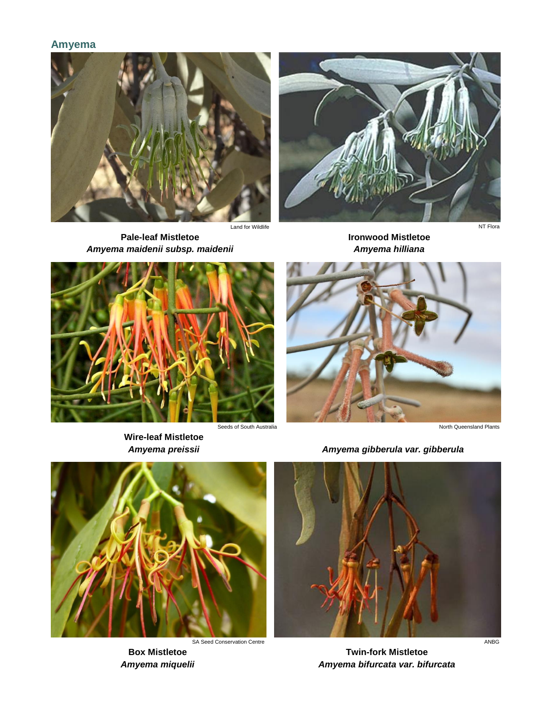## **Amyema**



**Pale-leaf Mistletoe** *Amyema maidenii subsp. maidenii*







**Wire-leaf Mistletoe**



*Amyema preissii Amyema gibberula var. gibberula*



**Box Mistletoe** *Amyema miquelii*



**Twin-fork Mistletoe** *Amyema bifurcata var. bifurcata*